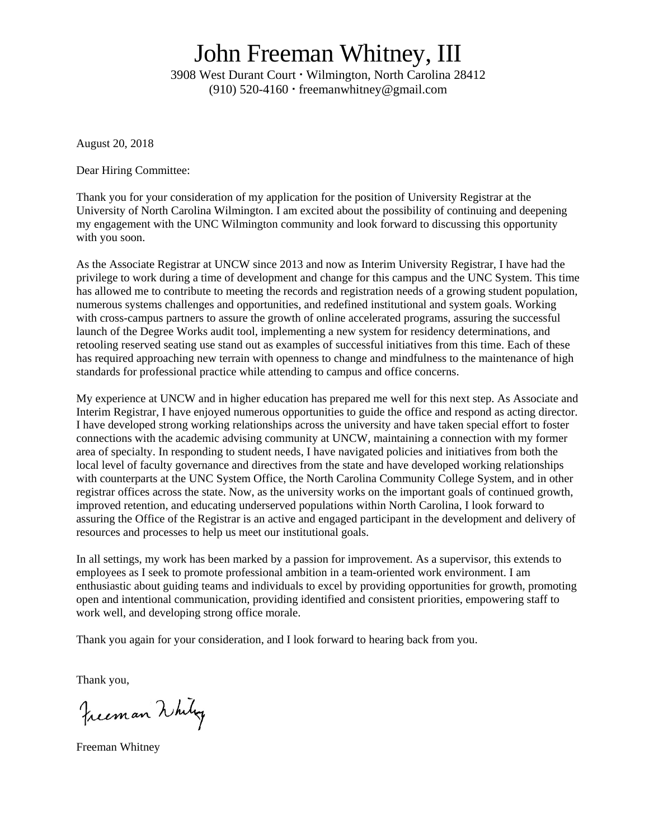## John Freeman Whitney, III

3908 West Durant Court · Wilmington, North Carolina 28412 (910)  $520-4160$  · freemanwhitney@gmail.com

August 20, 2018

Dear Hiring Committee:

Thank you for your consideration of my application for the position of University Registrar at the University of North Carolina Wilmington. I am excited about the possibility of continuing and deepening my engagement with the UNC Wilmington community and look forward to discussing this opportunity with you soon.

As the Associate Registrar at UNCW since 2013 and now as Interim University Registrar, I have had the privilege to work during a time of development and change for this campus and the UNC System. This time has allowed me to contribute to meeting the records and registration needs of a growing student population, numerous systems challenges and opportunities, and redefined institutional and system goals. Working with cross-campus partners to assure the growth of online accelerated programs, assuring the successful launch of the Degree Works audit tool, implementing a new system for residency determinations, and retooling reserved seating use stand out as examples of successful initiatives from this time. Each of these has required approaching new terrain with openness to change and mindfulness to the maintenance of high standards for professional practice while attending to campus and office concerns.

My experience at UNCW and in higher education has prepared me well for this next step. As Associate and Interim Registrar, I have enjoyed numerous opportunities to guide the office and respond as acting director. I have developed strong working relationships across the university and have taken special effort to foster connections with the academic advising community at UNCW, maintaining a connection with my former area of specialty. In responding to student needs, I have navigated policies and initiatives from both the local level of faculty governance and directives from the state and have developed working relationships with counterparts at the UNC System Office, the North Carolina Community College System, and in other registrar offices across the state. Now, as the university works on the important goals of continued growth, improved retention, and educating underserved populations within North Carolina, I look forward to assuring the Office of the Registrar is an active and engaged participant in the development and delivery of resources and processes to help us meet our institutional goals.

In all settings, my work has been marked by a passion for improvement. As a supervisor, this extends to employees as I seek to promote professional ambition in a team-oriented work environment. I am enthusiastic about guiding teams and individuals to excel by providing opportunities for growth, promoting open and intentional communication, providing identified and consistent priorities, empowering staff to work well, and developing strong office morale.

Thank you again for your consideration, and I look forward to hearing back from you.

Thank you,

Freeman Whitey

Freeman Whitney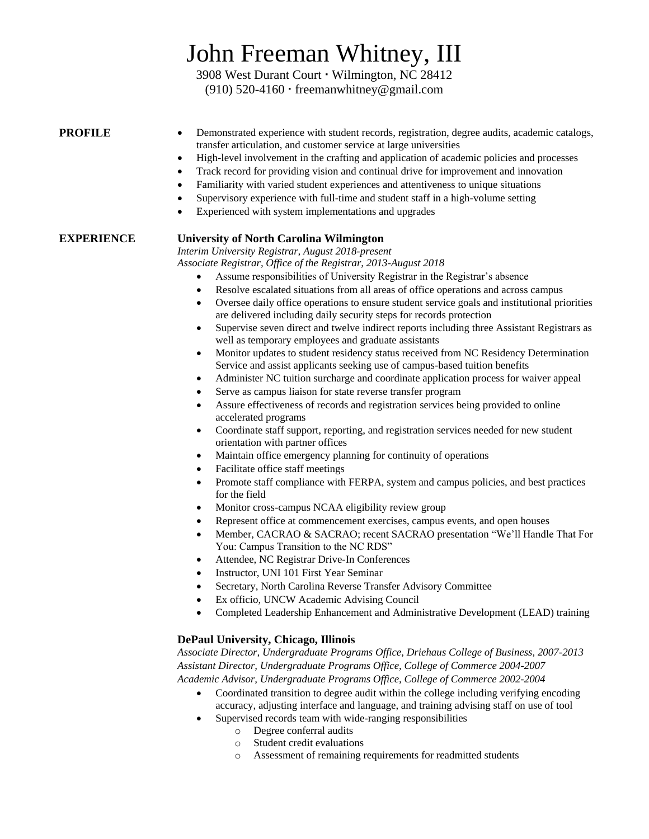# John Freeman Whitney, III

3908 West Durant Court · Wilmington, NC 28412 (910) 520-4160 freemanwhitney@gmail.com

| PROFILE |
|---------|
|---------|

- Demonstrated experience with student records, registration, degree audits, academic catalogs, transfer articulation, and customer service at large universities
- High-level involvement in the crafting and application of academic policies and processes
- Track record for providing vision and continual drive for improvement and innovation
- Familiarity with varied student experiences and attentiveness to unique situations
- Supervisory experience with full-time and student staff in a high-volume setting
- Experienced with system implementations and upgrades

## **EXPERIENCE University of North Carolina Wilmington**

*Interim University Registrar, August 2018-present*

*Associate Registrar, Office of the Registrar, 2013-August 2018*

- Assume responsibilities of University Registrar in the Registrar's absence
- Resolve escalated situations from all areas of office operations and across campus
- Oversee daily office operations to ensure student service goals and institutional priorities are delivered including daily security steps for records protection
- Supervise seven direct and twelve indirect reports including three Assistant Registrars as well as temporary employees and graduate assistants
- Monitor updates to student residency status received from NC Residency Determination Service and assist applicants seeking use of campus-based tuition benefits
- Administer NC tuition surcharge and coordinate application process for waiver appeal
- Serve as campus liaison for state reverse transfer program
- Assure effectiveness of records and registration services being provided to online accelerated programs
- Coordinate staff support, reporting, and registration services needed for new student orientation with partner offices
- Maintain office emergency planning for continuity of operations
- Facilitate office staff meetings
- Promote staff compliance with FERPA, system and campus policies, and best practices for the field
- Monitor cross-campus NCAA eligibility review group
- Represent office at commencement exercises, campus events, and open houses
- Member, CACRAO & SACRAO; recent SACRAO presentation "We'll Handle That For You: Campus Transition to the NC RDS"
- Attendee, NC Registrar Drive-In Conferences
- Instructor, UNI 101 First Year Seminar
- Secretary, North Carolina Reverse Transfer Advisory Committee
- Ex officio, UNCW Academic Advising Council
- Completed Leadership Enhancement and Administrative Development (LEAD) training

## **DePaul University, Chicago, Illinois**

*Associate Director, Undergraduate Programs Office, Driehaus College of Business, 2007-2013 Assistant Director, Undergraduate Programs Office, College of Commerce 2004-2007 Academic Advisor, Undergraduate Programs Office, College of Commerce 2002-2004*

- Coordinated transition to degree audit within the college including verifying encoding accuracy, adjusting interface and language, and training advising staff on use of tool
- Supervised records team with wide-ranging responsibilities
	- o Degree conferral audits
		- o Student credit evaluations
		- o Assessment of remaining requirements for readmitted students